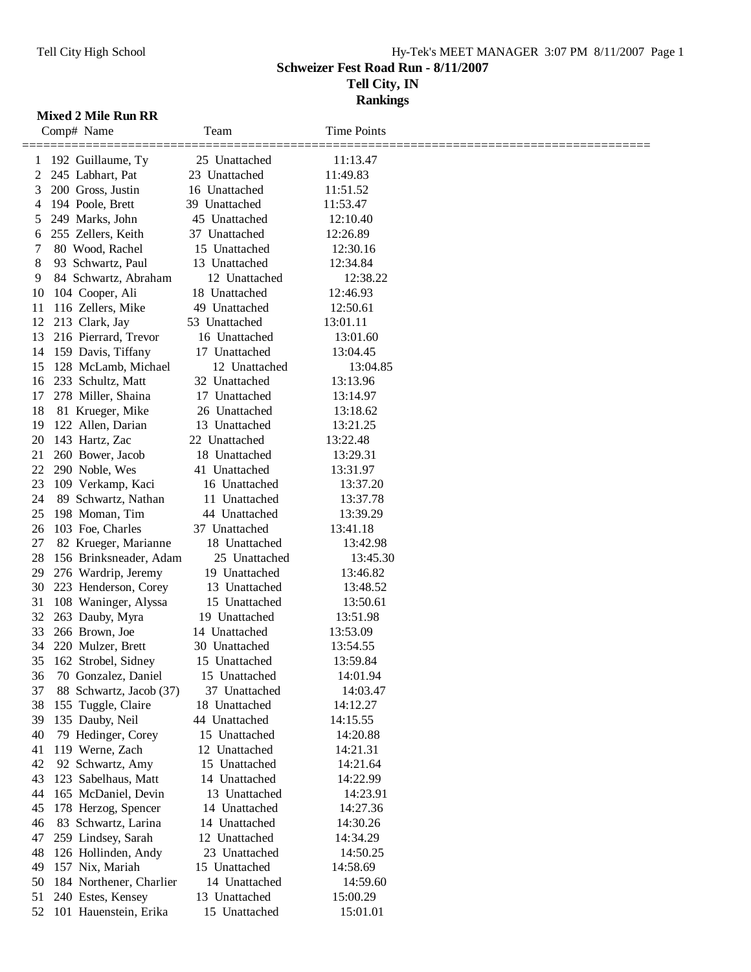**Tell City, IN**

**Rankings**

## **Mixed 2 Mile Run RR**

|    | Comp# Name              | Team             | <b>Time Points</b> |  |
|----|-------------------------|------------------|--------------------|--|
| 1  | 192 Guillaume, Ty       | 25 Unattached    | 11:13.47           |  |
| 2  | 245 Labhart, Pat        | 23 Unattached    | 11:49.83           |  |
| 3  | 200 Gross, Justin       | 16 Unattached    | 11:51.52           |  |
| 4  | 194 Poole, Brett        | 39 Unattached    | 11:53.47           |  |
| 5  | 249 Marks, John         | 45 Unattached    | 12:10.40           |  |
| 6  | 255 Zellers, Keith      | 37 Unattached    | 12:26.89           |  |
| 7  | 80 Wood, Rachel         | 15 Unattached    | 12:30.16           |  |
| 8  | 93 Schwartz, Paul       | 13 Unattached    | 12:34.84           |  |
| 9  | 84 Schwartz, Abraham    | 12 Unattached    | 12:38.22           |  |
| 10 | 104 Cooper, Ali         | 18 Unattached    | 12:46.93           |  |
| 11 | 116 Zellers, Mike       | 49 Unattached    | 12:50.61           |  |
| 12 | 213 Clark, Jay          | 53 Unattached    | 13:01.11           |  |
| 13 | 216 Pierrard, Trevor    | 16 Unattached    | 13:01.60           |  |
| 14 | 159 Davis, Tiffany      | 17 Unattached    | 13:04.45           |  |
| 15 | 128 McLamb, Michael     | 12 Unattached    | 13:04.85           |  |
| 16 | 233 Schultz, Matt       | 32 Unattached    | 13:13.96           |  |
| 17 | 278 Miller, Shaina      | Unattached<br>17 | 13:14.97           |  |
| 18 | 81 Krueger, Mike        | 26 Unattached    | 13:18.62           |  |
| 19 | 122 Allen, Darian       | 13 Unattached    | 13:21.25           |  |
| 20 | 143 Hartz, Zac          | 22 Unattached    | 13:22.48           |  |
| 21 | 260 Bower, Jacob        | 18 Unattached    | 13:29.31           |  |
| 22 | 290 Noble, Wes          | 41 Unattached    | 13:31.97           |  |
| 23 | 109 Verkamp, Kaci       | 16 Unattached    | 13:37.20           |  |
| 24 | 89 Schwartz, Nathan     | 11 Unattached    | 13:37.78           |  |
| 25 | 198 Moman, Tim          | 44 Unattached    | 13:39.29           |  |
| 26 | 103 Foe, Charles        | 37 Unattached    | 13:41.18           |  |
| 27 | 82 Krueger, Marianne    | 18 Unattached    | 13:42.98           |  |
| 28 | 156 Brinksneader, Adam  | 25 Unattached    | 13:45.30           |  |
| 29 | 276 Wardrip, Jeremy     | 19 Unattached    | 13:46.82           |  |
| 30 | 223 Henderson, Corey    | 13 Unattached    | 13:48.52           |  |
| 31 | 108 Waninger, Alyssa    | 15 Unattached    | 13:50.61           |  |
| 32 | 263 Dauby, Myra         | 19 Unattached    | 13:51.98           |  |
| 33 | 266 Brown, Joe          | 14 Unattached    | 13:53.09           |  |
| 34 | 220 Mulzer, Brett       | 30 Unattached    | 13:54.55           |  |
| 35 | 162 Strobel, Sidney     | 15 Unattached    | 13:59.84           |  |
| 36 | 70 Gonzalez, Daniel     | 15 Unattached    | 14:01.94           |  |
| 37 | 88 Schwartz, Jacob (37) | 37 Unattached    | 14:03.47           |  |
| 38 | 155 Tuggle, Claire      | 18 Unattached    | 14:12.27           |  |
| 39 | 135 Dauby, Neil         | 44 Unattached    | 14:15.55           |  |
| 40 | 79 Hedinger, Corey      | 15 Unattached    | 14:20.88           |  |
| 41 | 119 Werne, Zach         | 12 Unattached    | 14:21.31           |  |
| 42 | 92 Schwartz, Amy        | 15 Unattached    | 14:21.64           |  |
| 43 | 123 Sabelhaus, Matt     | 14 Unattached    | 14:22.99           |  |
| 44 | 165 McDaniel, Devin     | 13 Unattached    | 14:23.91           |  |
| 45 | 178 Herzog, Spencer     | 14 Unattached    | 14:27.36           |  |
| 46 | 83 Schwartz, Larina     | 14 Unattached    | 14:30.26           |  |
| 47 | 259 Lindsey, Sarah      | 12 Unattached    | 14:34.29           |  |
| 48 | 126 Hollinden, Andy     | 23 Unattached    | 14:50.25           |  |
| 49 | 157 Nix, Mariah         | 15 Unattached    | 14:58.69           |  |
| 50 | 184 Northener, Charlier | 14 Unattached    | 14:59.60           |  |
| 51 | 240 Estes, Kensey       | 13 Unattached    | 15:00.29           |  |
| 52 | 101 Hauenstein, Erika   | 15 Unattached    | 15:01.01           |  |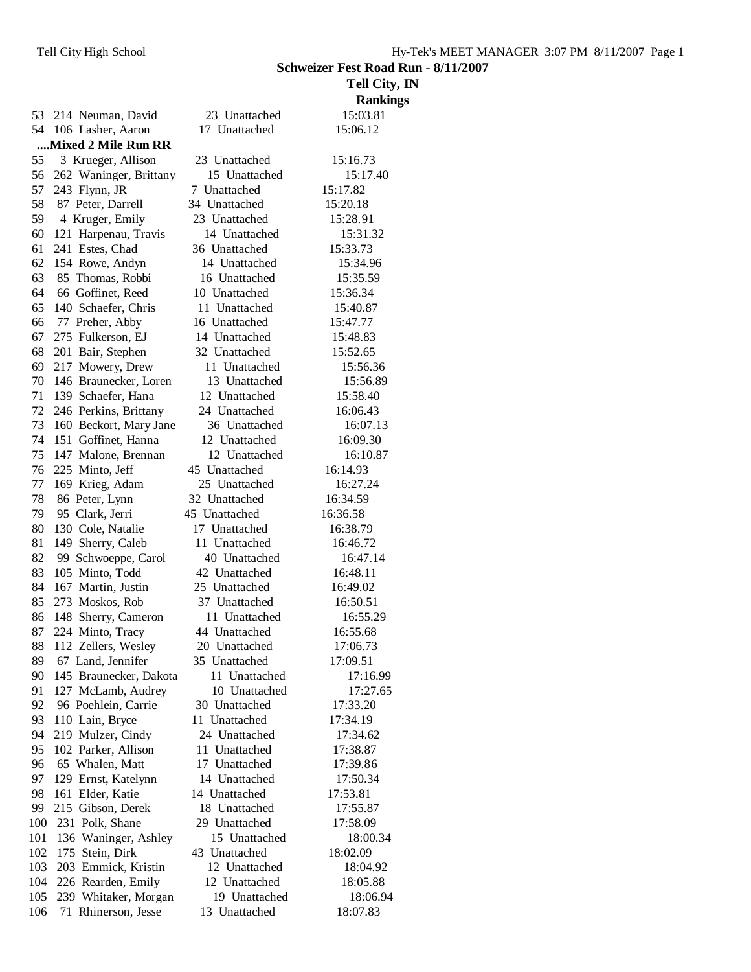|     |                        |               | <b>Tell City, IN</b> |
|-----|------------------------|---------------|----------------------|
|     |                        |               | <b>Rankings</b>      |
| 53  | 214 Neuman, David      | 23 Unattached | 15:03.81             |
| 54  | 106 Lasher, Aaron      | 17 Unattached | 15:06.12             |
|     | Mixed 2 Mile Run RR    |               |                      |
| 55  | 3 Krueger, Allison     | 23 Unattached | 15:16.73             |
| 56  | 262 Waninger, Brittany | 15 Unattached | 15:17.40             |
| 57  | 243 Flynn, JR          | 7 Unattached  | 15:17.82             |
| 58  | 87 Peter, Darrell      | 34 Unattached | 15:20.18             |
| 59  | 4 Kruger, Emily        | 23 Unattached | 15:28.91             |
| 60  | 121 Harpenau, Travis   | 14 Unattached | 15:31.32             |
| 61  | 241 Estes, Chad        | 36 Unattached | 15:33.73             |
| 62  | 154 Rowe, Andyn        | 14 Unattached | 15:34.96             |
| 63  | 85 Thomas, Robbi       | 16 Unattached | 15:35.59             |
| 64  | 66 Goffinet, Reed      | 10 Unattached | 15:36.34             |
| 65  | 140 Schaefer, Chris    | 11 Unattached | 15:40.87             |
| 66  | 77 Preher, Abby        | 16 Unattached | 15:47.77             |
| 67  | 275 Fulkerson, EJ      | 14 Unattached | 15:48.83             |
| 68  | 201 Bair, Stephen      | 32 Unattached | 15:52.65             |
| 69  | 217 Mowery, Drew       | 11 Unattached | 15:56.36             |
| 70  | 146 Braunecker, Loren  | 13 Unattached | 15:56.89             |
| 71  | 139 Schaefer, Hana     | 12 Unattached | 15:58.40             |
| 72  | 246 Perkins, Brittany  | 24 Unattached | 16:06.43             |
| 73  | 160 Beckort, Mary Jane | 36 Unattached | 16:07.13             |
| 74  | 151 Goffinet, Hanna    | 12 Unattached | 16:09.30             |
| 75  | 147 Malone, Brennan    | 12 Unattached | 16:10.87             |
| 76  | 225 Minto, Jeff        | 45 Unattached | 16:14.93             |
| 77  | 169 Krieg, Adam        | 25 Unattached | 16:27.24             |
| 78  | 86 Peter, Lynn         | 32 Unattached | 16:34.59             |
| 79  | 95 Clark, Jerri        | 45 Unattached | 16:36.58             |
| 80  | 130 Cole, Natalie      | 17 Unattached | 16:38.79             |
| 81  | 149 Sherry, Caleb      | 11 Unattached | 16:46.72             |
| 82  | 99 Schwoeppe, Carol    | 40 Unattached | 16:47.14             |
| 83  | 105 Minto, Todd        | 42 Unattached | 16:48.11             |
| 84  | 167 Martin, Justin     | 25 Unattached | 16:49.02             |
| 85  | 273 Moskos, Rob        | 37 Unattached | 16:50.51             |
| 86  | 148 Sherry, Cameron    | 11 Unattached | 16:55.29             |
| 87  | 224 Minto, Tracy       | 44 Unattached | 16:55.68             |
| 88  | 112 Zellers, Wesley    | 20 Unattached | 17:06.73             |
| 89  | 67 Land, Jennifer      | 35 Unattached | 17:09.51             |
| 90  | 145 Braunecker, Dakota | 11 Unattached | 17:16.99             |
| 91  | 127 McLamb, Audrey     | 10 Unattached | 17:27.65             |
| 92  | 96 Poehlein, Carrie    | 30 Unattached | 17:33.20             |
| 93  | 110 Lain, Bryce        | 11 Unattached | 17:34.19             |
| 94  | 219 Mulzer, Cindy      | 24 Unattached | 17:34.62             |
| 95  | 102 Parker, Allison    | 11 Unattached | 17:38.87             |
| 96  | 65 Whalen, Matt        | 17 Unattached | 17:39.86             |
| 97  | 129 Ernst, Katelynn    | 14 Unattached | 17:50.34             |
| 98  | 161 Elder, Katie       | 14 Unattached | 17:53.81             |
| 99  | 215 Gibson, Derek      | 18 Unattached | 17:55.87             |
| 100 | 231 Polk, Shane        | 29 Unattached | 17:58.09             |
| 101 | 136 Waninger, Ashley   | 15 Unattached | 18:00.34             |
| 102 | 175 Stein, Dirk        | 43 Unattached | 18:02.09             |
| 103 | 203 Emmick, Kristin    | 12 Unattached | 18:04.92             |
| 104 | 226 Rearden, Emily     | 12 Unattached | 18:05.88             |
| 105 | 239 Whitaker, Morgan   | 19 Unattached | 18:06.94             |
| 106 | 71 Rhinerson, Jesse    | 13 Unattached | 18:07.83             |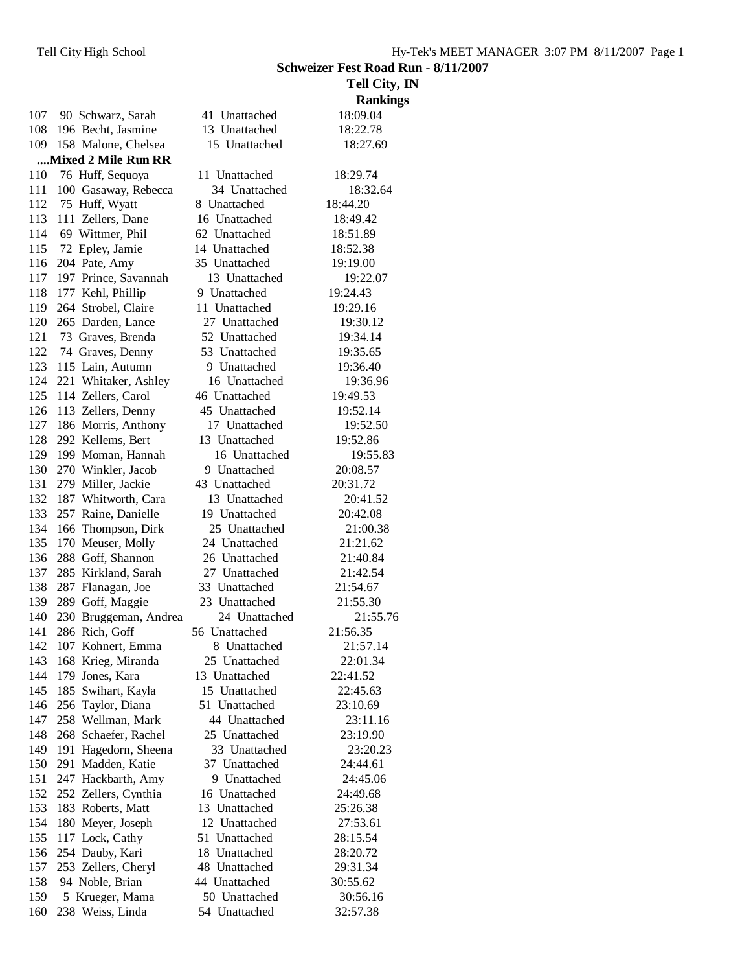|     |                       |               | <b>Tell City, IN</b> |
|-----|-----------------------|---------------|----------------------|
|     |                       |               | <b>Rankings</b>      |
| 107 | 90 Schwarz, Sarah     | 41 Unattached | 18:09.04             |
| 108 | 196 Becht, Jasmine    | 13 Unattached | 18:22.78             |
| 109 | 158 Malone, Chelsea   | 15 Unattached | 18:27.69             |
|     | Mixed 2 Mile Run RR   |               |                      |
| 110 | 76 Huff, Sequoya      | 11 Unattached | 18:29.74             |
| 111 | 100 Gasaway, Rebecca  | 34 Unattached | 18:32.64             |
| 112 | 75 Huff, Wyatt        | 8 Unattached  | 18:44.20             |
| 113 | 111 Zellers, Dane     | 16 Unattached | 18:49.42             |
| 114 | 69 Wittmer, Phil      | 62 Unattached | 18:51.89             |
| 115 | 72 Epley, Jamie       | 14 Unattached | 18:52.38             |
| 116 | 204 Pate, Amy         | 35 Unattached | 19:19.00             |
| 117 | 197 Prince, Savannah  | 13 Unattached | 19:22.07             |
| 118 | 177 Kehl, Phillip     | 9 Unattached  | 19:24.43             |
| 119 | 264 Strobel, Claire   | 11 Unattached | 19:29.16             |
| 120 | 265 Darden, Lance     | 27 Unattached | 19:30.12             |
| 121 | 73 Graves, Brenda     | 52 Unattached | 19:34.14             |
| 122 | 74 Graves, Denny      | 53 Unattached | 19:35.65             |
| 123 | 115 Lain, Autumn      | 9 Unattached  | 19:36.40             |
| 124 | 221 Whitaker, Ashley  | 16 Unattached | 19:36.96             |
| 125 | 114 Zellers, Carol    | 46 Unattached | 19:49.53             |
| 126 | 113 Zellers, Denny    | 45 Unattached | 19:52.14             |
| 127 | 186 Morris, Anthony   | 17 Unattached | 19:52.50             |
| 128 | 292 Kellems, Bert     | 13 Unattached | 19:52.86             |
| 129 | 199 Moman, Hannah     | 16 Unattached | 19:55.83             |
| 130 | 270 Winkler, Jacob    | 9 Unattached  | 20:08.57             |
| 131 | 279 Miller, Jackie    | 43 Unattached | 20:31.72             |
| 132 | 187 Whitworth, Cara   | 13 Unattached | 20:41.52             |
| 133 | 257 Raine, Danielle   | 19 Unattached | 20:42.08             |
| 134 | 166 Thompson, Dirk    | 25 Unattached | 21:00.38             |
| 135 | 170 Meuser, Molly     | 24 Unattached | 21:21.62             |
| 136 | 288 Goff, Shannon     | 26 Unattached | 21:40.84             |
| 137 | 285 Kirkland, Sarah   | 27 Unattached | 21:42.54             |
| 138 | 287 Flanagan, Joe     | 33 Unattached | 21:54.67             |
| 139 | 289 Goff, Maggie      | 23 Unattached | 21:55.30             |
| 140 | 230 Bruggeman, Andrea | 24 Unattached | 21:55.76             |
| 141 | 286 Rich, Goff        | 56 Unattached | 21:56.35             |
| 142 | 107 Kohnert, Emma     | 8 Unattached  | 21:57.14             |
| 143 | 168 Krieg, Miranda    | 25 Unattached | 22:01.34             |
| 144 | 179 Jones, Kara       | 13 Unattached | 22:41.52             |
| 145 | 185 Swihart, Kayla    | 15 Unattached | 22:45.63             |
| 146 | 256 Taylor, Diana     | 51 Unattached | 23:10.69             |
| 147 | 258 Wellman, Mark     | 44 Unattached | 23:11.16             |
| 148 | 268 Schaefer, Rachel  | 25 Unattached | 23:19.90             |
| 149 | 191 Hagedorn, Sheena  | 33 Unattached | 23:20.23             |
| 150 | 291 Madden, Katie     | 37 Unattached | 24:44.61             |
| 151 | 247 Hackbarth, Amy    | 9 Unattached  | 24:45.06             |
| 152 | 252 Zellers, Cynthia  | 16 Unattached | 24:49.68             |
| 153 | 183 Roberts, Matt     | 13 Unattached | 25:26.38             |
| 154 | 180 Meyer, Joseph     | 12 Unattached | 27:53.61             |
| 155 | 117 Lock, Cathy       | 51 Unattached | 28:15.54             |
| 156 | 254 Dauby, Kari       | 18 Unattached | 28:20.72             |
| 157 | 253 Zellers, Cheryl   | 48 Unattached | 29:31.34             |
| 158 | 94 Noble, Brian       | 44 Unattached | 30:55.62             |
| 159 | 5 Krueger, Mama       | 50 Unattached | 30:56.16             |
| 160 | 238 Weiss, Linda      | 54 Unattached | 32:57.38             |